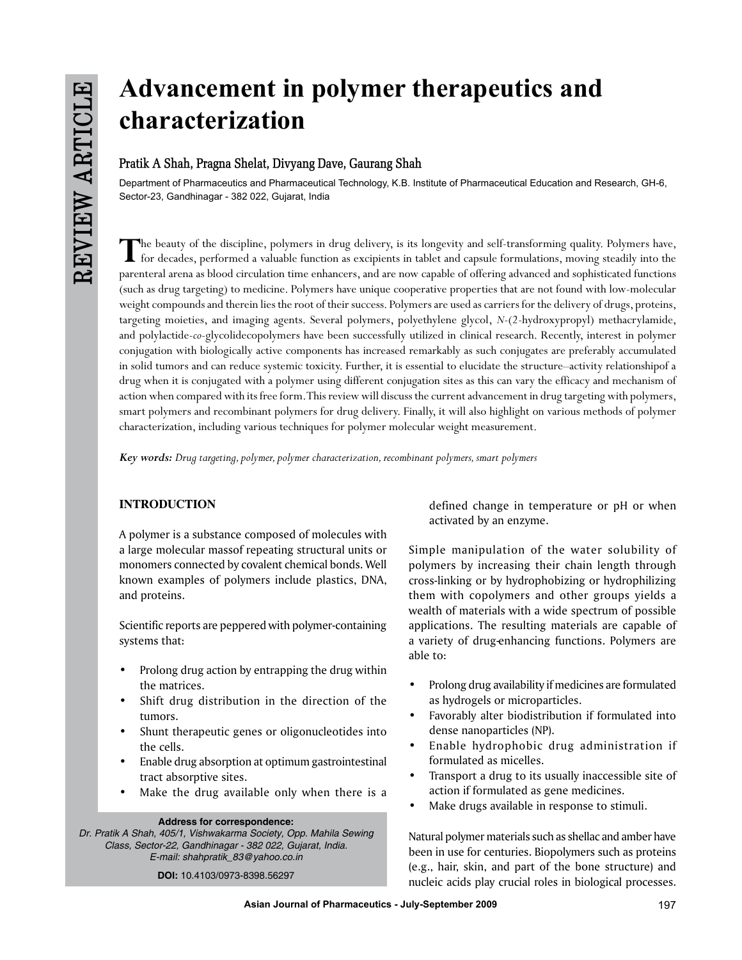# **Advancement in polymer therapeutics and characterization**

# **Pratik A Shah, Pragna Shelat, Divyang Dave, Gaurang Shah**

Department of Pharmaceutics and Pharmaceutical Technology, K.B. Institute of Pharmaceutical Education and Research, GH-6, Sector-23, Gandhinagar - 382 022, Gujarat, India

The beauty of the discipline, polymers in drug delivery, is its longevity and self-transforming quality. Polymers have,<br>for decades, performed a valuable function as excipients in tablet and capsule formulations, moving st parenteral arena as blood circulation time enhancers, and are now capable of offering advanced and sophisticated functions (such as drug targeting) to medicine. Polymers have unique cooperative properties that are not found with low-molecular weight compounds and therein lies the root of their success. Polymers are used as carriers for the delivery of drugs, proteins, targeting moieties, and imaging agents. Several polymers, polyethylene glycol, *N*-(2-hydroxypropyl) methacrylamide, and polylactide-*co*-glycolidecopolymers have been successfully utilized in clinical research. Recently, interest in polymer conjugation with biologically active components has increased remarkably as such conjugates are preferably accumulated in solid tumors and can reduce systemic toxicity. Further, it is essential to elucidate the structure–activity relationshipof a drug when it is conjugated with a polymer using different conjugation sites as this can vary the efficacy and mechanism of action when compared with its free form. This review will discuss the current advancement in drug targeting with polymers, smart polymers and recombinant polymers for drug delivery. Finally, it will also highlight on various methods of polymer characterization, including various techniques for polymer molecular weight measurement.

*Key words: Drug targeting, polymer, polymer characterization, recombinant polymers, smart polymers*

# **INTRODUCTION**

A polymer is a substance composed of molecules with a large molecular massof repeating structural units or monomers connected by covalent chemical bonds. Well known examples of polymers include plastics, DNA, and proteins.

Scientific reports are peppered with polymer-containing systems that:

- Prolong drug action by entrapping the drug within the matrices.
- Shift drug distribution in the direction of the tumors.
- Shunt therapeutic genes or oligonucleotides into the cells.
- Enable drug absorption at optimum gastrointestinal tract absorptive sites.
- Make the drug available only when there is a

#### **Address for correspondence:**

*Dr. Pratik A Shah, 405/1, Vishwakarma Society, Opp. Mahila Sewing Class, Sector-22, Gandhinagar - 382 022, Gujarat, India. E-mail: shahpratik\_83@yahoo.co.in*

**DOI:** 10.4103/0973-8398.56297

defined change in temperature or pH or when activated by an enzyme.

Simple manipulation of the water solubility of polymers by increasing their chain length through cross-linking or by hydrophobizing or hydrophilizing them with copolymers and other groups yields a wealth of materials with a wide spectrum of possible applications. The resulting materials are capable of a variety of drug-enhancing functions. Polymers are able to:

- Prolong drug availability if medicines are formulated as hydrogels or microparticles.
- Favorably alter biodistribution if formulated into dense nanoparticles (NP).
- Enable hydrophobic drug administration if formulated as micelles.
- Transport a drug to its usually inaccessible site of action if formulated as gene medicines.
- Make drugs available in response to stimuli.

Natural polymer materials such as shellac and amber have been in use for centuries. Biopolymers such as proteins (e.g., hair, skin, and part of the bone structure) and nucleic acids play crucial roles in biological processes.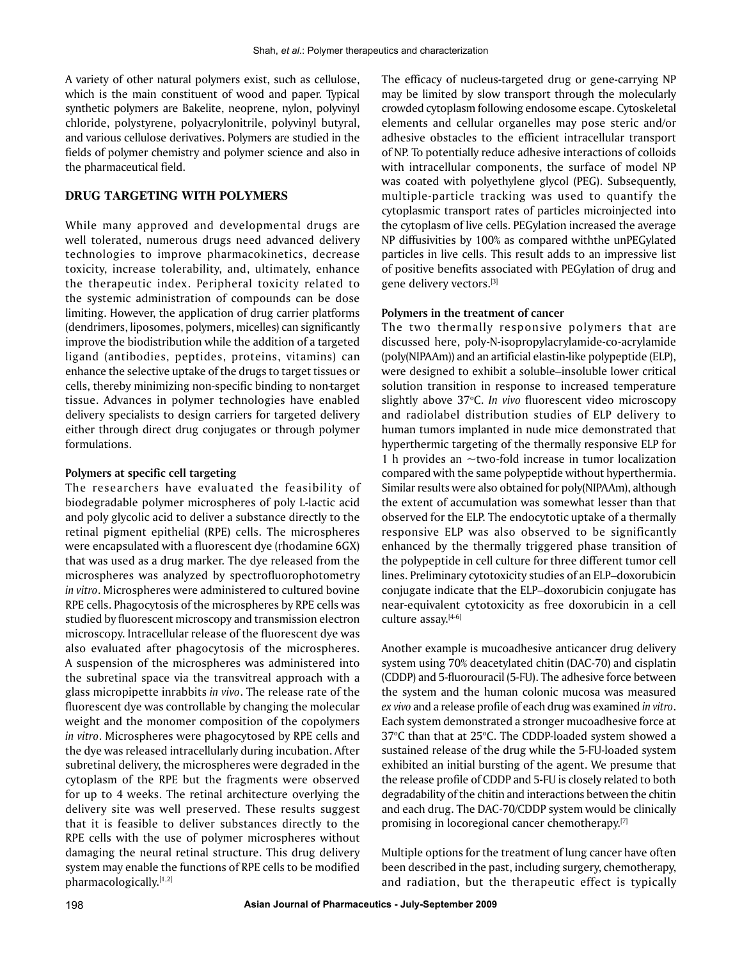A variety of other natural polymers exist, such as cellulose, which is the main constituent of wood and paper. Typical synthetic polymers are Bakelite, neoprene, nylon, polyvinyl chloride, polystyrene, polyacrylonitrile, polyvinyl butyral, and various cellulose derivatives. Polymers are studied in the fields of polymer chemistry and polymer science and also in the pharmaceutical field.

## **DRUG TARGETING WITH POLYMERS**

While many approved and developmental drugs are well tolerated, numerous drugs need advanced delivery technologies to improve pharmacokinetics, decrease toxicity, increase tolerability, and, ultimately, enhance the therapeutic index. Peripheral toxicity related to the systemic administration of compounds can be dose limiting. However, the application of drug carrier platforms (dendrimers, liposomes, polymers, micelles) can significantly improve the biodistribution while the addition of a targeted ligand (antibodies, peptides, proteins, vitamins) can enhance the selective uptake of the drugs to target tissues or cells, thereby minimizing non-specific binding to non-target tissue. Advances in polymer technologies have enabled delivery specialists to design carriers for targeted delivery either through direct drug conjugates or through polymer formulations.

#### **Polymers at specific cell targeting**

The researchers have evaluated the feasibility of biodegradable polymer microspheres of poly L-lactic acid and poly glycolic acid to deliver a substance directly to the retinal pigment epithelial (RPE) cells. The microspheres were encapsulated with a fluorescent dye (rhodamine 6GX) that was used as a drug marker. The dye released from the microspheres was analyzed by spectrofluorophotometry *in vitro*. Microspheres were administered to cultured bovine RPE cells. Phagocytosis of the microspheres by RPE cells was studied by fluorescent microscopy and transmission electron microscopy. Intracellular release of the fluorescent dye was also evaluated after phagocytosis of the microspheres. A suspension of the microspheres was administered into the subretinal space via the transvitreal approach with a glass micropipette inrabbits *in vivo*. The release rate of the fluorescent dye was controllable by changing the molecular weight and the monomer composition of the copolymers *in vitro*. Microspheres were phagocytosed by RPE cells and the dye was released intracellularly during incubation. After subretinal delivery, the microspheres were degraded in the cytoplasm of the RPE but the fragments were observed for up to 4 weeks. The retinal architecture overlying the delivery site was well preserved. These results suggest that it is feasible to deliver substances directly to the RPE cells with the use of polymer microspheres without damaging the neural retinal structure. This drug delivery system may enable the functions of RPE cells to be modified pharmacologically.[1,2]

The efficacy of nucleus-targeted drug or gene-carrying NP may be limited by slow transport through the molecularly crowded cytoplasm following endosome escape. Cytoskeletal elements and cellular organelles may pose steric and/or adhesive obstacles to the efficient intracellular transport of NP. To potentially reduce adhesive interactions of colloids with intracellular components, the surface of model NP was coated with polyethylene glycol (PEG). Subsequently, multiple-particle tracking was used to quantify the cytoplasmic transport rates of particles microinjected into the cytoplasm of live cells. PEGylation increased the average NP diffusivities by 100% as compared withthe unPEGylated particles in live cells. This result adds to an impressive list of positive benefits associated with PEGylation of drug and gene delivery vectors.[3]

### **Polymers in the treatment of cancer**

The two thermally responsive polymers that are discussed here, poly-N-isopropylacrylamide-co-acrylamide (poly(NIPAAm)) and an artificial elastin-like polypeptide (ELP), were designed to exhibit a soluble–insoluble lower critical solution transition in response to increased temperature slightly above 37°C. In vivo fluorescent video microscopy and radiolabel distribution studies of ELP delivery to human tumors implanted in nude mice demonstrated that hyperthermic targeting of the thermally responsive ELP for 1 h provides an  $\sim$ two-fold increase in tumor localization compared with the same polypeptide without hyperthermia. Similar results were also obtained for poly(NIPAAm), although the extent of accumulation was somewhat lesser than that observed for the ELP. The endocytotic uptake of a thermally responsive ELP was also observed to be significantly enhanced by the thermally triggered phase transition of the polypeptide in cell culture for three different tumor cell lines. Preliminary cytotoxicity studies of an ELP–doxorubicin conjugate indicate that the ELP–doxorubicin conjugate has near-equivalent cytotoxicity as free doxorubicin in a cell culture assay.[4-6]

Another example is mucoadhesive anticancer drug delivery system using 70% deacetylated chitin (DAC-70) and cisplatin (CDDP) and 5-fluorouracil (5-FU). The adhesive force between the system and the human colonic mucosa was measured *ex vivo* and a release profile of each drug was examined *in vitro*. Each system demonstrated a stronger mucoadhesive force at 37°C than that at 25°C. The CDDP-loaded system showed a sustained release of the drug while the 5-FU-loaded system exhibited an initial bursting of the agent. We presume that the release profile of CDDP and 5-FU is closely related to both degradability of the chitin and interactions between the chitin and each drug. The DAC-70/CDDP system would be clinically promising in locoregional cancer chemotherapy.<sup>[7]</sup>

Multiple options for the treatment of lung cancer have often been described in the past, including surgery, chemotherapy, and radiation, but the therapeutic effect is typically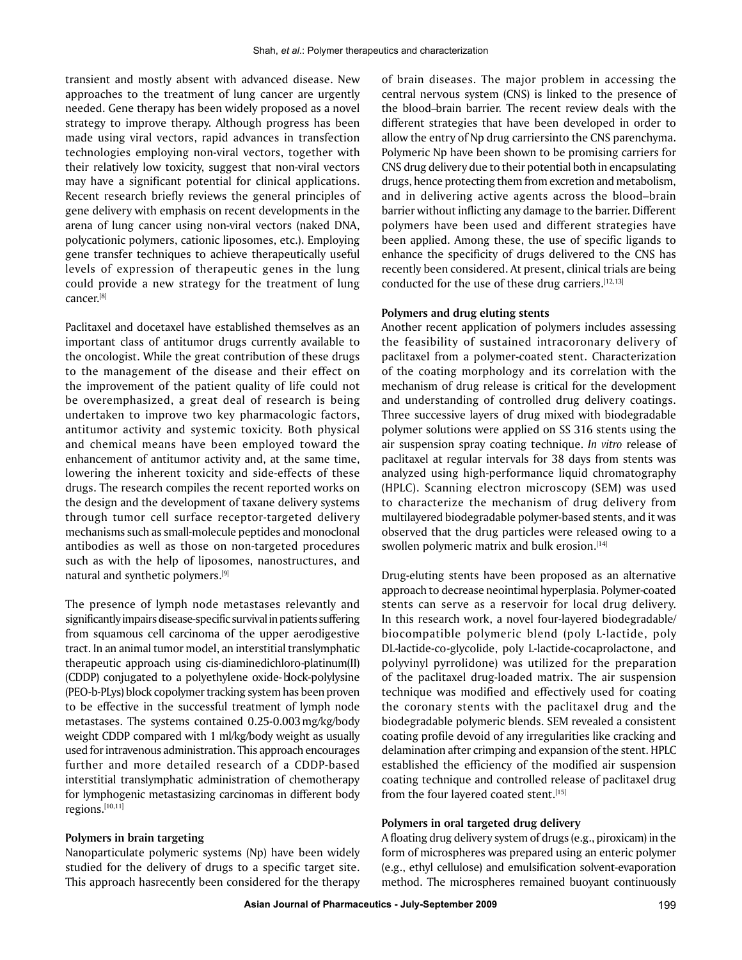transient and mostly absent with advanced disease. New approaches to the treatment of lung cancer are urgently needed. Gene therapy has been widely proposed as a novel strategy to improve therapy. Although progress has been made using viral vectors, rapid advances in transfection technologies employing non-viral vectors, together with their relatively low toxicity, suggest that non-viral vectors may have a significant potential for clinical applications. Recent research briefly reviews the general principles of gene delivery with emphasis on recent developments in the arena of lung cancer using non-viral vectors (naked DNA, polycationic polymers, cationic liposomes, etc.). Employing gene transfer techniques to achieve therapeutically useful levels of expression of therapeutic genes in the lung could provide a new strategy for the treatment of lung cancer.[8]

Paclitaxel and docetaxel have established themselves as an important class of antitumor drugs currently available to the oncologist. While the great contribution of these drugs to the management of the disease and their effect on the improvement of the patient quality of life could not be overemphasized, a great deal of research is being undertaken to improve two key pharmacologic factors, antitumor activity and systemic toxicity. Both physical and chemical means have been employed toward the enhancement of antitumor activity and, at the same time, lowering the inherent toxicity and side-effects of these drugs. The research compiles the recent reported works on the design and the development of taxane delivery systems through tumor cell surface receptor-targeted delivery mechanisms such as small-molecule peptides and monoclonal antibodies as well as those on non-targeted procedures such as with the help of liposomes, nanostructures, and natural and synthetic polymers.[9]

The presence of lymph node metastases relevantly and significantly impairs disease-specific survival in patients suffering from squamous cell carcinoma of the upper aerodigestive tract. In an animal tumor model, an interstitial translymphatic therapeutic approach using cis-diaminedichloro-platinum(II) (CDDP) conjugated to a polyethylene oxide-block-polylysine (PEO-b-PLys) block copolymer tracking system has been proven to be effective in the successful treatment of lymph node metastases. The systems contained 0.25-0.003mg/kg/body weight CDDP compared with 1 ml/kg/body weight as usually used for intravenous administration. This approach encourages further and more detailed research of a CDDP-based interstitial translymphatic administration of chemotherapy for lymphogenic metastasizing carcinomas in different body regions.[10,11]

#### **Polymers in brain targeting**

Nanoparticulate polymeric systems (Np) have been widely studied for the delivery of drugs to a specific target site. This approach hasrecently been considered for the therapy of brain diseases. The major problem in accessing the central nervous system (CNS) is linked to the presence of the blood–brain barrier. The recent review deals with the different strategies that have been developed in order to allow the entry of Np drug carriersinto the CNS parenchyma. Polymeric Np have been shown to be promising carriers for CNS drug delivery due to their potential both in encapsulating drugs, hence protecting them from excretion and metabolism, and in delivering active agents across the blood–brain barrier without inflicting any damage to the barrier. Different polymers have been used and different strategies have been applied. Among these, the use of specific ligands to enhance the specificity of drugs delivered to the CNS has recently been considered. At present, clinical trials are being conducted for the use of these drug carriers. $[12,13]$ 

#### **Polymers and drug eluting stents**

Another recent application of polymers includes assessing the feasibility of sustained intracoronary delivery of paclitaxel from a polymer-coated stent. Characterization of the coating morphology and its correlation with the mechanism of drug release is critical for the development and understanding of controlled drug delivery coatings. Three successive layers of drug mixed with biodegradable polymer solutions were applied on SS 316 stents using the air suspension spray coating technique. *In vitro* release of paclitaxel at regular intervals for 38 days from stents was analyzed using high-performance liquid chromatography (HPLC). Scanning electron microscopy (SEM) was used to characterize the mechanism of drug delivery from multilayered biodegradable polymer-based stents, and it was observed that the drug particles were released owing to a swollen polymeric matrix and bulk erosion.<sup>[14]</sup>

Drug-eluting stents have been proposed as an alternative approach to decrease neointimal hyperplasia. Polymer-coated stents can serve as a reservoir for local drug delivery. In this research work, a novel four-layered biodegradable/ biocompatible polymeric blend (poly L-lactide, poly DL-lactide-co-glycolide, poly L-lactide-cocaprolactone, and polyvinyl pyrrolidone) was utilized for the preparation of the paclitaxel drug-loaded matrix. The air suspension technique was modified and effectively used for coating the coronary stents with the paclitaxel drug and the biodegradable polymeric blends. SEM revealed a consistent coating profile devoid of any irregularities like cracking and delamination after crimping and expansion of the stent. HPLC established the efficiency of the modified air suspension coating technique and controlled release of paclitaxel drug from the four layered coated stent.[15]

#### **Polymers in oral targeted drug delivery**

A floating drug delivery system of drugs (e.g., piroxicam) in the form of microspheres was prepared using an enteric polymer (e.g., ethyl cellulose) and emulsification solvent-evaporation method. The microspheres remained buoyant continuously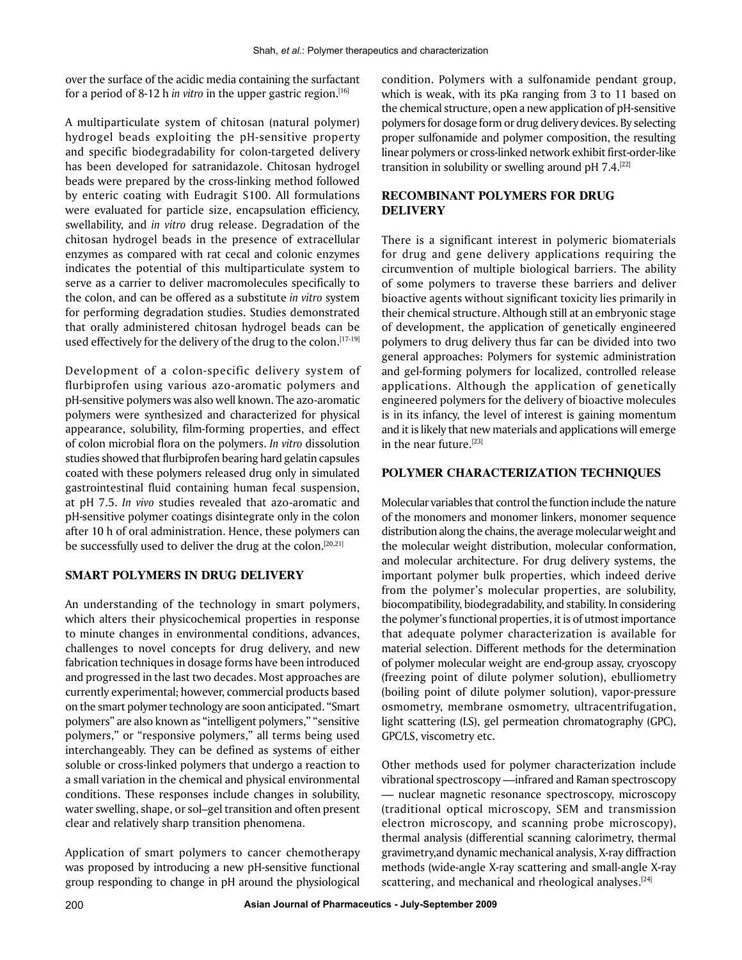over the surface of the acidic media containing the surfactant for a period of 8-12 h *in vitro* in the upper gastric region.[16]

A multiparticulate system of chitosan (natural polymer) hydrogel beads exploiting the pH-sensitive property and specific biodegradability for colon-targeted delivery has been developed for satranidazole. Chitosan hydrogel beads were prepared by the cross-linking method followed by enteric coating with Eudragit S100. All formulations were evaluated for particle size, encapsulation efficiency, swellability, and *in vitro* drug release. Degradation of the chitosan hydrogel beads in the presence of extracellular enzymes as compared with rat cecal and colonic enzymes indicates the potential of this multiparticulate system to serve as a carrier to deliver macromolecules specifically to the colon, and can be offered as a substitute *in vitro* system for performing degradation studies. Studies demonstrated that orally administered chitosan hydrogel beads can be used effectively for the delivery of the drug to the colon.<sup>[17-19]</sup>

Development of a colon-specific delivery system of flurbiprofen using various azo-aromatic polymers and pH-sensitive polymers was also well known. The azo-aromatic polymers were synthesized and characterized for physical appearance, solubility, film-forming properties, and effect of colon microbial flora on the polymers. *In vitro* dissolution studies showed that flurbiprofen bearing hard gelatin capsules coated with these polymers released drug only in simulated gastrointestinal fluid containing human fecal suspension, at pH 7.5. *In vivo* studies revealed that azo-aromatic and pH-sensitive polymer coatings disintegrate only in the colon after 10 h of oral administration. Hence, these polymers can be successfully used to deliver the drug at the colon.<sup>[20,21]</sup>

## **SMART POLYMERS IN DRUG DELIVERY**

An understanding of the technology in smart polymers, which alters their physicochemical properties in response to minute changes in environmental conditions, advances, challenges to novel concepts for drug delivery, and new fabrication techniques in dosage forms have been introduced and progressed in the last two decades. Most approaches are currently experimental; however, commercial products based on the smart polymer technology are soon anticipated. "Smart polymers" are also known as "intelligent polymers," "sensitive polymers," or "responsive polymers," all terms being used interchangeably. They can be defined as systems of either soluble or cross-linked polymers that undergo a reaction to a small variation in the chemical and physical environmental conditions. These responses include changes in solubility, water swelling, shape, or sol–gel transition and often present clear and relatively sharp transition phenomena.

Application of smart polymers to cancer chemotherapy was proposed by introducing a new pH-sensitive functional group responding to change in pH around the physiological condition. Polymers with a sulfonamide pendant group, which is weak, with its pKa ranging from 3 to 11 based on the chemical structure, open a new application of pH-sensitive polymers for dosage form or drug delivery devices. By selecting proper sulfonamide and polymer composition, the resulting linear polymers or cross-linked network exhibit first-order-like transition in solubility or swelling around pH  $7.4$ .<sup>[22]</sup>

# **RECOMBINANT POLYMERS FOR DRUG DELIVERY**

There is a significant interest in polymeric biomaterials for drug and gene delivery applications requiring the circumvention of multiple biological barriers. The ability of some polymers to traverse these barriers and deliver bioactive agents without significant toxicity lies primarily in their chemical structure. Although still at an embryonic stage of development, the application of genetically engineered polymers to drug delivery thus far can be divided into two general approaches: Polymers for systemic administration and gel-forming polymers for localized, controlled release applications. Although the application of genetically engineered polymers for the delivery of bioactive molecules is in its infancy, the level of interest is gaining momentum and it is likely that new materials and applications will emerge in the near future.<sup>[23]</sup>

## **POLYMER CHARACTERIZATION TECHNIQUES**

Molecular variables that control the function include the nature of the monomers and monomer linkers, monomer sequence distribution along the chains, the average molecular weight and the molecular weight distribution, molecular conformation, and molecular architecture. For drug delivery systems, the important polymer bulk properties, which indeed derive from the polymer's molecular properties, are solubility, biocompatibility, biodegradability, and stability. In considering the polymer's functional properties, it is of utmost importance that adequate polymer characterization is available for material selection. Different methods for the determination of polymer molecular weight are end-group assay, cryoscopy (freezing point of dilute polymer solution), ebulliometry (boiling point of dilute polymer solution), vapor-pressure osmometry, membrane osmometry, ultracentrifugation, light scattering (LS), gel permeation chromatography (GPC), GPC/LS, viscometry etc.

Other methods used for polymer characterization include vibrational spectroscopy —infrared and Raman spectroscopy — nuclear magnetic resonance spectroscopy, microscopy (traditional optical microscopy, SEM and transmission electron microscopy, and scanning probe microscopy), thermal analysis (differential scanning calorimetry, thermal gravimetry,and dynamic mechanical analysis, X-ray diffraction methods (wide-angle X-ray scattering and small-angle X-ray scattering, and mechanical and rheological analyses.<sup>[24]</sup>